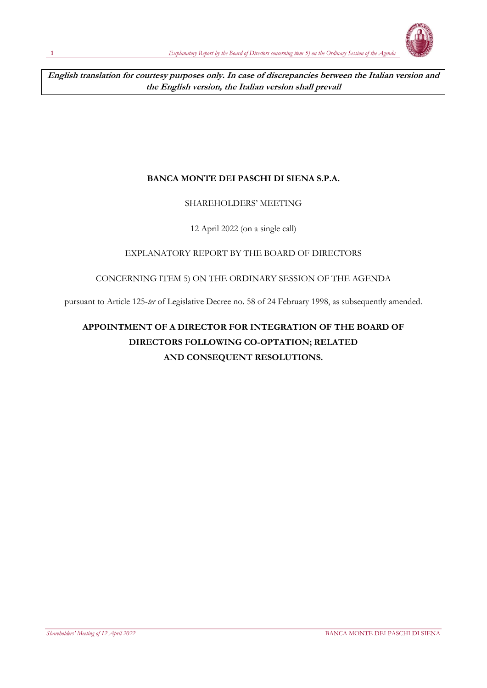**English translation for courtesy purposes only. In case of discrepancies between the Italian version and the English version, the Italian version shall prevail**

## **BANCA MONTE DEI PASCHI DI SIENA S.P.A.**

## SHAREHOLDERS' MEETING

## 12 April 2022 (on a single call)

## EXPLANATORY REPORT BY THE BOARD OF DIRECTORS

### CONCERNING ITEM 5) ON THE ORDINARY SESSION OF THE AGENDA

pursuant to Article 125-*ter* of Legislative Decree no. 58 of 24 February 1998, as subsequently amended.

# **APPOINTMENT OF A DIRECTOR FOR INTEGRATION OF THE BOARD OF DIRECTORS FOLLOWING CO-OPTATION; RELATED AND CONSEQUENT RESOLUTIONS.**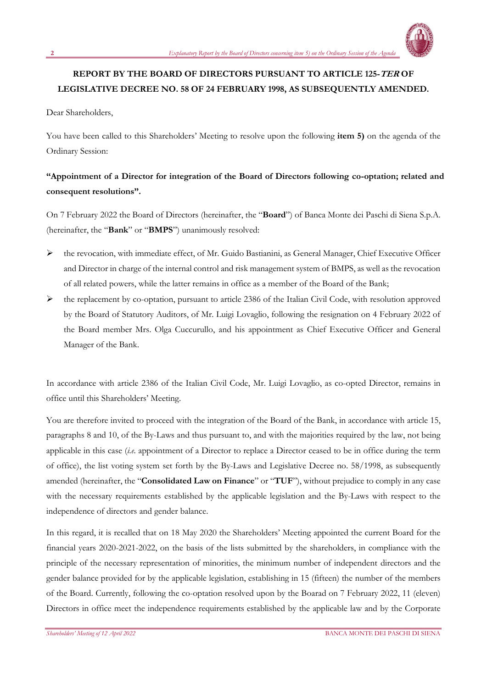

## **REPORT BY THE BOARD OF DIRECTORS PURSUANT TO ARTICLE 125-TER OF LEGISLATIVE DECREE NO. 58 OF 24 FEBRUARY 1998, AS SUBSEQUENTLY AMENDED.**

Dear Shareholders,

You have been called to this Shareholders' Meeting to resolve upon the following **item 5)** on the agenda of the Ordinary Session:

## **"Appointment of a Director for integration of the Board of Directors following co-optation; related and consequent resolutions".**

On 7 February 2022 the Board of Directors (hereinafter, the "**Board**") of Banca Monte dei Paschi di Siena S.p.A. (hereinafter, the "**Bank**" or "**BMPS**") unanimously resolved:

- ➢ the revocation, with immediate effect, of Mr. Guido Bastianini, as General Manager, Chief Executive Officer and Director in charge of the internal control and risk management system of BMPS, as well as the revocation of all related powers, while the latter remains in office as a member of the Board of the Bank;
- ➢ the replacement by co-optation, pursuant to article 2386 of the Italian Civil Code, with resolution approved by the Board of Statutory Auditors, of Mr. Luigi Lovaglio, following the resignation on 4 February 2022 of the Board member Mrs. Olga Cuccurullo, and his appointment as Chief Executive Officer and General Manager of the Bank.

In accordance with article 2386 of the Italian Civil Code, Mr. Luigi Lovaglio, as co-opted Director, remains in office until this Shareholders' Meeting.

You are therefore invited to proceed with the integration of the Board of the Bank, in accordance with article 15, paragraphs 8 and 10, of the By-Laws and thus pursuant to, and with the majorities required by the law, not being applicable in this case (*i.e.* appointment of a Director to replace a Director ceased to be in office during the term of office), the list voting system set forth by the By-Laws and Legislative Decree no. 58/1998, as subsequently amended (hereinafter, the "**Consolidated Law on Finance**" or "**TUF**"), without prejudice to comply in any case with the necessary requirements established by the applicable legislation and the By-Laws with respect to the independence of directors and gender balance.

In this regard, it is recalled that on 18 May 2020 the Shareholders' Meeting appointed the current Board for the financial years 2020-2021-2022, on the basis of the lists submitted by the shareholders, in compliance with the principle of the necessary representation of minorities, the minimum number of independent directors and the gender balance provided for by the applicable legislation, establishing in 15 (fifteen) the number of the members of the Board. Currently, following the co-optation resolved upon by the Boarad on 7 February 2022, 11 (eleven) Directors in office meet the independence requirements established by the applicable law and by the Corporate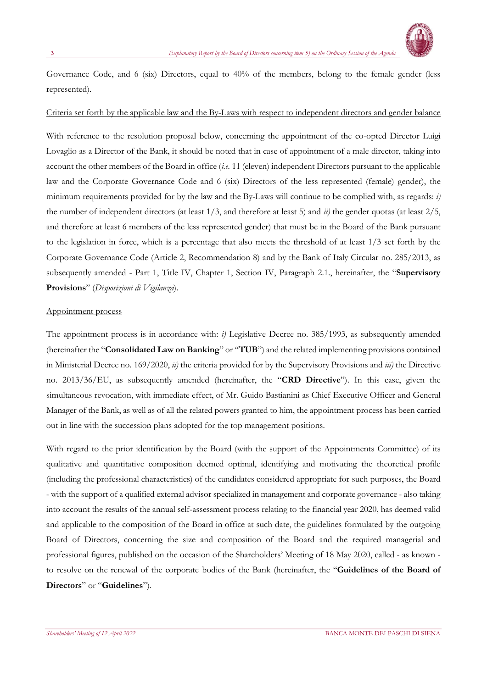

Governance Code, and 6 (six) Directors, equal to 40% of the members, belong to the female gender (less represented).

### Criteria set forth by the applicable law and the By-Laws with respect to independent directors and gender balance

With reference to the resolution proposal below, concerning the appointment of the co-opted Director Luigi Lovaglio as a Director of the Bank, it should be noted that in case of appointment of a male director, taking into account the other members of the Board in office (*i.e.* 11 (eleven) independent Directors pursuant to the applicable law and the Corporate Governance Code and 6 (six) Directors of the less represented (female) gender), the minimum requirements provided for by the law and the By-Laws will continue to be complied with, as regards: *i)* the number of independent directors (at least 1/3, and therefore at least 5) and *ii)* the gender quotas (at least 2/5, and therefore at least 6 members of the less represented gender) that must be in the Board of the Bank pursuant to the legislation in force, which is a percentage that also meets the threshold of at least 1/3 set forth by the Corporate Governance Code (Article 2, Recommendation 8) and by the Bank of Italy Circular no. 285/2013, as subsequently amended - Part 1, Title IV, Chapter 1, Section IV, Paragraph 2.1., hereinafter, the "**Supervisory Provisions**" (*Disposizioni di Vigilanza*).

#### Appointment process

The appointment process is in accordance with: *i)* Legislative Decree no. 385/1993, as subsequently amended (hereinafter the "**Consolidated Law on Banking**" or "**TUB**") and the related implementing provisions contained in Ministerial Decree no. 169/2020, *ii)* the criteria provided for by the Supervisory Provisions and *iii)* the Directive no. 2013/36/EU, as subsequently amended (hereinafter, the "**CRD Directive**"). In this case, given the simultaneous revocation, with immediate effect, of Mr. Guido Bastianini as Chief Executive Officer and General Manager of the Bank, as well as of all the related powers granted to him, the appointment process has been carried out in line with the succession plans adopted for the top management positions.

With regard to the prior identification by the Board (with the support of the Appointments Committee) of its qualitative and quantitative composition deemed optimal, identifying and motivating the theoretical profile (including the professional characteristics) of the candidates considered appropriate for such purposes, the Board - with the support of a qualified external advisor specialized in management and corporate governance - also taking into account the results of the annual self-assessment process relating to the financial year 2020, has deemed valid and applicable to the composition of the Board in office at such date, the guidelines formulated by the outgoing Board of Directors, concerning the size and composition of the Board and the required managerial and professional figures, published on the occasion of the Shareholders' Meeting of 18 May 2020, called - as known to resolve on the renewal of the corporate bodies of the Bank (hereinafter, the "**Guidelines of the Board of Directors**" or "**Guidelines**").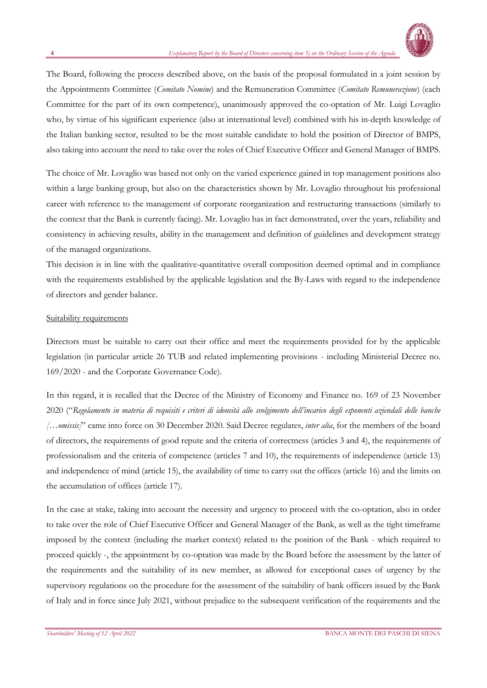

The Board, following the process described above, on the basis of the proposal formulated in a joint session by the Appointments Committee (*Comitato Nomine*) and the Remuneration Committee (*Comitato Remunerazione*) (each Committee for the part of its own competence), unanimously approved the co-optation of Mr. Luigi Lovaglio who, by virtue of his significant experience (also at international level) combined with his in-depth knowledge of the Italian banking sector, resulted to be the most suitable candidate to hold the position of Director of BMPS, also taking into account the need to take over the roles of Chief Executive Officer and General Manager of BMPS.

The choice of Mr. Lovaglio was based not only on the varied experience gained in top management positions also within a large banking group, but also on the characteristics shown by Mr. Lovaglio throughout his professional career with reference to the management of corporate reorganization and restructuring transactions (similarly to the context that the Bank is currently facing). Mr. Lovaglio has in fact demonstrated, over the years, reliability and consistency in achieving results, ability in the management and definition of guidelines and development strategy of the managed organizations.

This decision is in line with the qualitative-quantitative overall composition deemed optimal and in compliance with the requirements established by the applicable legislation and the By-Laws with regard to the independence of directors and gender balance.

### Suitability requirements

Directors must be suitable to carry out their office and meet the requirements provided for by the applicable legislation (in particular article 26 TUB and related implementing provisions - including Ministerial Decree no. 169/2020 - and the Corporate Governance Code).

In this regard, it is recalled that the Decree of the Ministry of Economy and Finance no. 169 of 23 November 2020 ("*Regolamento in materia di requisiti e criteri di idoneità allo svolgimento dell'incarico degli esponenti aziendali delle banche […omissis]*" came into force on 30 December 2020. Said Decree regulates, *inter alia*, for the members of the board of directors, the requirements of good repute and the criteria of correctness (articles 3 and 4), the requirements of professionalism and the criteria of competence (articles 7 and 10), the requirements of independence (article 13) and independence of mind (article 15), the availability of time to carry out the offices (article 16) and the limits on the accumulation of offices (article 17).

In the case at stake, taking into account the necessity and urgency to proceed with the co-optation, also in order to take over the role of Chief Executive Officer and General Manager of the Bank, as well as the tight timeframe imposed by the context (including the market context) related to the position of the Bank - which required to proceed quickly -, the appointment by co-optation was made by the Board before the assessment by the latter of the requirements and the suitability of its new member, as allowed for exceptional cases of urgency by the supervisory regulations on the procedure for the assessment of the suitability of bank officers issued by the Bank of Italy and in force since July 2021, without prejudice to the subsequent verification of the requirements and the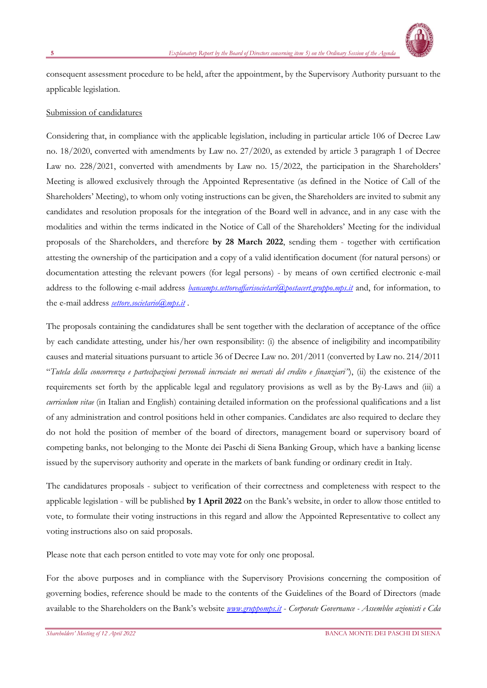

consequent assessment procedure to be held, after the appointment, by the Supervisory Authority pursuant to the applicable legislation.

### Submission of candidatures

Considering that, in compliance with the applicable legislation, including in particular article 106 of Decree Law no. 18/2020, converted with amendments by Law no. 27/2020, as extended by article 3 paragraph 1 of Decree Law no. 228/2021, converted with amendments by Law no. 15/2022, the participation in the Shareholders' Meeting is allowed exclusively through the Appointed Representative (as defined in the Notice of Call of the Shareholders' Meeting), to whom only voting instructions can be given, the Shareholders are invited to submit any candidates and resolution proposals for the integration of the Board well in advance, and in any case with the modalities and within the terms indicated in the Notice of Call of the Shareholders' Meeting for the individual proposals of the Shareholders, and therefore **by 28 March 2022**, sending them - together with certification attesting the ownership of the participation and a copy of a valid identification document (for natural persons) or documentation attesting the relevant powers (for legal persons) - by means of own certified electronic e-mail address to the following e-mail address *[bancamps.settoreaffarisocietari@postacert.gruppo.mps.it](mailto:bancamps.settoreaffarisocietari@postacert.gruppo.mps.it)* and, for information, to the e-mail address *[settore.societario@mps.it](file:///C:/mailto:settore.societario@mps.it)* .

The proposals containing the candidatures shall be sent together with the declaration of acceptance of the office by each candidate attesting, under his/her own responsibility: (i) the absence of ineligibility and incompatibility causes and material situations pursuant to article 36 of Decree Law no. 201/2011 (converted by Law no. 214/2011 "*Tutela della concorrenza e partecipazioni personali incrociate nei mercati del credito e finanziari"*), (ii) the existence of the requirements set forth by the applicable legal and regulatory provisions as well as by the By-Laws and (iii) a *curriculum vitae* (in Italian and English) containing detailed information on the professional qualifications and a list of any administration and control positions held in other companies. Candidates are also required to declare they do not hold the position of member of the board of directors, management board or supervisory board of competing banks, not belonging to the Monte dei Paschi di Siena Banking Group, which have a banking license issued by the supervisory authority and operate in the markets of bank funding or ordinary credit in Italy.

The candidatures proposals - subject to verification of their correctness and completeness with respect to the applicable legislation - will be published **by 1 April 2022** on the Bank's website, in order to allow those entitled to vote, to formulate their voting instructions in this regard and allow the Appointed Representative to collect any voting instructions also on said proposals.

Please note that each person entitled to vote may vote for only one proposal.

For the above purposes and in compliance with the Supervisory Provisions concerning the composition of governing bodies, reference should be made to the contents of the Guidelines of the Board of Directors (made available to the Shareholders on the Bank's website *www.gruppomps.it* - *Corporate Governance - Assemblee azionisti e Cda*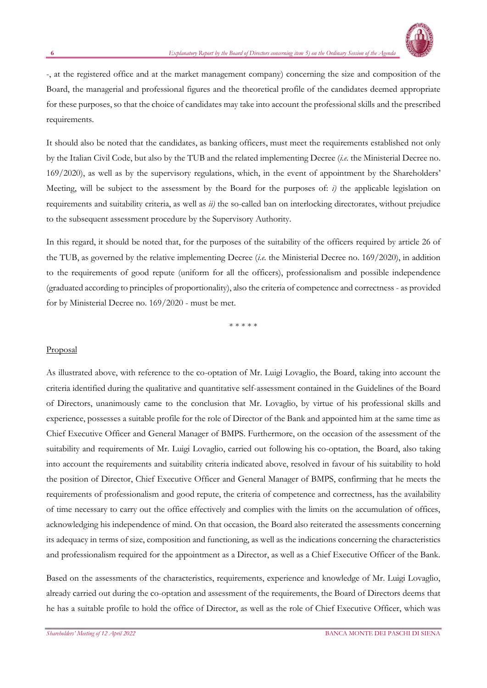

-, at the registered office and at the market management company) concerning the size and composition of the Board, the managerial and professional figures and the theoretical profile of the candidates deemed appropriate for these purposes, so that the choice of candidates may take into account the professional skills and the prescribed requirements.

It should also be noted that the candidates, as banking officers, must meet the requirements established not only by the Italian Civil Code, but also by the TUB and the related implementing Decree (*i.e.* the Ministerial Decree no. 169/2020), as well as by the supervisory regulations, which, in the event of appointment by the Shareholders' Meeting, will be subject to the assessment by the Board for the purposes of: *i)* the applicable legislation on requirements and suitability criteria, as well as *ii)* the so-called ban on interlocking directorates, without prejudice to the subsequent assessment procedure by the Supervisory Authority.

In this regard, it should be noted that, for the purposes of the suitability of the officers required by article 26 of the TUB, as governed by the relative implementing Decree (*i.e.* the Ministerial Decree no. 169/2020), in addition to the requirements of good repute (uniform for all the officers), professionalism and possible independence (graduated according to principles of proportionality), also the criteria of competence and correctness - as provided for by Ministerial Decree no. 169/2020 - must be met.

\* \* \* \* \*

#### Proposal

As illustrated above, with reference to the co-optation of Mr. Luigi Lovaglio, the Board, taking into account the criteria identified during the qualitative and quantitative self-assessment contained in the Guidelines of the Board of Directors, unanimously came to the conclusion that Mr. Lovaglio, by virtue of his professional skills and experience, possesses a suitable profile for the role of Director of the Bank and appointed him at the same time as Chief Executive Officer and General Manager of BMPS. Furthermore, on the occasion of the assessment of the suitability and requirements of Mr. Luigi Lovaglio, carried out following his co-optation, the Board, also taking into account the requirements and suitability criteria indicated above, resolved in favour of his suitability to hold the position of Director, Chief Executive Officer and General Manager of BMPS, confirming that he meets the requirements of professionalism and good repute, the criteria of competence and correctness, has the availability of time necessary to carry out the office effectively and complies with the limits on the accumulation of offices, acknowledging his independence of mind. On that occasion, the Board also reiterated the assessments concerning its adequacy in terms of size, composition and functioning, as well as the indications concerning the characteristics and professionalism required for the appointment as a Director, as well as a Chief Executive Officer of the Bank.

Based on the assessments of the characteristics, requirements, experience and knowledge of Mr. Luigi Lovaglio, already carried out during the co-optation and assessment of the requirements, the Board of Directors deems that he has a suitable profile to hold the office of Director, as well as the role of Chief Executive Officer, which was